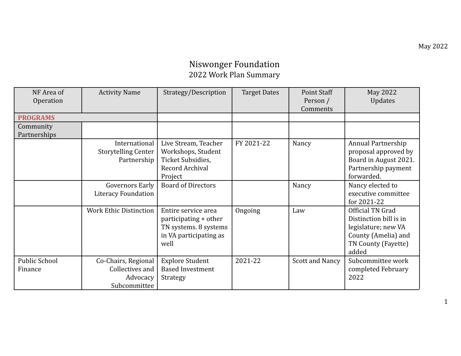## Niswonger Foundation 2022 Work Plan Summary

| NF Area of<br>Operation | <b>Activity Name</b>          | Strategy/Description      | <b>Target Dates</b> | Point Staff<br>Person / | <b>May 2022</b><br>Updates |
|-------------------------|-------------------------------|---------------------------|---------------------|-------------------------|----------------------------|
|                         |                               |                           |                     | Comments                |                            |
| <b>PROGRAMS</b>         |                               |                           |                     |                         |                            |
| Community               |                               |                           |                     |                         |                            |
| Partnerships            |                               |                           |                     |                         |                            |
|                         | International                 | Live Stream, Teacher      | FY 2021-22          | Nancy                   | Annual Partnership         |
|                         | <b>Storytelling Center</b>    | Workshops, Student        |                     |                         | proposal approved by       |
|                         | Partnership                   | Ticket Subsidies,         |                     |                         | Board in August 2021.      |
|                         |                               | Record Archival           |                     |                         | Partnership payment        |
|                         |                               | Project                   |                     |                         | forwarded.                 |
|                         | <b>Governors Early</b>        | <b>Board of Directors</b> |                     | Nancy                   | Nancy elected to           |
|                         | <b>Literacy Foundation</b>    |                           |                     |                         | executive committee        |
|                         |                               |                           |                     |                         | for 2021-22                |
|                         | <b>Work Ethic Distinction</b> | Entire service area       | Ongoing             | Law                     | Official TN Grad           |
|                         |                               | participating + other     |                     |                         | Distinction bill is in     |
|                         |                               | TN systems. 8 systems     |                     |                         | legislature; new VA        |
|                         |                               | in VA participating as    |                     |                         | County (Amelia) and        |
|                         |                               | well                      |                     |                         | TN County (Fayette)        |
|                         |                               |                           |                     |                         | added                      |
| <b>Public School</b>    | Co-Chairs, Regional           | <b>Explore Student</b>    | 2021-22             | Scott and Nancy         | Subcommittee work          |
| Finance                 | Collectives and               | <b>Based Investment</b>   |                     |                         | completed February         |
|                         | Advocacy                      | Strategy                  |                     |                         | 2022                       |
|                         | Subcommittee                  |                           |                     |                         |                            |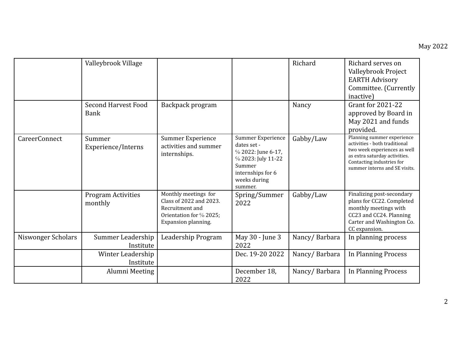|                    | Valleybrook Village                  |                                                                                                                      |                                                                                                                                        | Richard       | Richard serves on<br>Valleybrook Project<br><b>EARTH Advisory</b><br>Committee. (Currently<br>inactive)                                                                                    |
|--------------------|--------------------------------------|----------------------------------------------------------------------------------------------------------------------|----------------------------------------------------------------------------------------------------------------------------------------|---------------|--------------------------------------------------------------------------------------------------------------------------------------------------------------------------------------------|
|                    | <b>Second Harvest Food</b><br>Bank   | Backpack program                                                                                                     |                                                                                                                                        | Nancy         | <b>Grant for 2021-22</b><br>approved by Board in<br>May 2021 and funds<br>provided.                                                                                                        |
| CareerConnect      | Summer<br>Experience/Interns         | Summer Experience<br>activities and summer<br>internships.                                                           | Summer Experience<br>dates set -<br>% 2022: June 6-17,<br>% 2023: July 11-22<br>Summer<br>internships for 6<br>weeks during<br>summer. | Gabby/Law     | Planning summer experience<br>activities - both traditional<br>two week experiences as well<br>as extra saturday activities.<br>Contacting industries for<br>summer interns and SE visits. |
|                    | <b>Program Activities</b><br>monthly | Monthly meetings for<br>Class of 2022 and 2023.<br>Recruitment and<br>Orientation for % 2025;<br>Expansion planning. | Spring/Summer<br>2022                                                                                                                  | Gabby/Law     | Finalizing post-secondary<br>plans for CC22. Completed<br>monthly meetings with<br>CC23 and CC24. Planning<br>Carter and Washington Co.<br>CC expansion.                                   |
| Niswonger Scholars | Summer Leadership<br>Institute       | Leadership Program                                                                                                   | May 30 - June 3<br>2022                                                                                                                | Nancy/Barbara | In planning process                                                                                                                                                                        |
|                    | Winter Leadership<br>Institute       |                                                                                                                      | Dec. 19-20 2022                                                                                                                        | Nancy/Barbara | In Planning Process                                                                                                                                                                        |
|                    | Alumni Meeting                       |                                                                                                                      | December 18,<br>2022                                                                                                                   | Nancy/Barbara | In Planning Process                                                                                                                                                                        |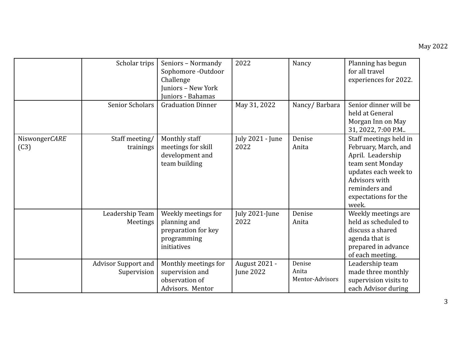|                       | Scholar trips                             | Seniors - Normandy<br>Sophomore -Outdoor<br>Challenge<br>Juniors - New York<br>Juniors - Bahamas | 2022                              | Nancy                              | Planning has begun<br>for all travel<br>experiences for 2022.                                                                                                                      |
|-----------------------|-------------------------------------------|--------------------------------------------------------------------------------------------------|-----------------------------------|------------------------------------|------------------------------------------------------------------------------------------------------------------------------------------------------------------------------------|
|                       | <b>Senior Scholars</b>                    | <b>Graduation Dinner</b>                                                                         | May 31, 2022                      | Nancy/Barbara                      | Senior dinner will be<br>held at General<br>Morgan Inn on May<br>31, 2022, 7:00 P.M                                                                                                |
| NiswongerCARE<br>(C3) | Staff meeting/<br>trainings               | Monthly staff<br>meetings for skill<br>development and<br>team building                          | July 2021 - June<br>2022          | Denise<br>Anita                    | Staff meetings held in<br>February, March, and<br>April. Leadership<br>team sent Monday<br>updates each week to<br>Advisors with<br>reminders and<br>expectations for the<br>week. |
|                       | Leadership Team<br>Meetings               | Weekly meetings for<br>planning and<br>preparation for key<br>programming<br>initiatives         | July 2021-June<br>2022            | Denise<br>Anita                    | Weekly meetings are<br>held as scheduled to<br>discuss a shared<br>agenda that is<br>prepared in advance<br>of each meeting.                                                       |
|                       | <b>Advisor Support and</b><br>Supervision | Monthly meetings for<br>supervision and<br>observation of<br>Advisors. Mentor                    | <b>August 2021 -</b><br>June 2022 | Denise<br>Anita<br>Mentor-Advisors | Leadership team<br>made three monthly<br>supervision visits to<br>each Advisor during                                                                                              |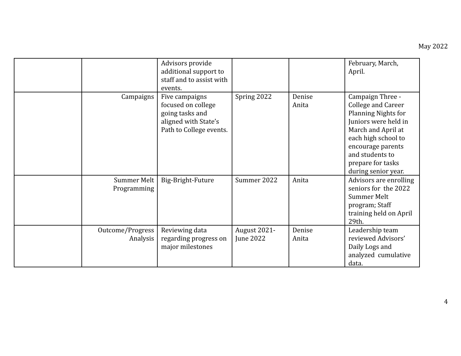|                              | Advisors provide<br>additional support to<br>staff and to assist with<br>events.                           |                           |                 | February, March,<br>April.                                                                                                                                                                                                    |
|------------------------------|------------------------------------------------------------------------------------------------------------|---------------------------|-----------------|-------------------------------------------------------------------------------------------------------------------------------------------------------------------------------------------------------------------------------|
| Campaigns                    | Five campaigns<br>focused on college<br>going tasks and<br>aligned with State's<br>Path to College events. | Spring 2022               | Denise<br>Anita | Campaign Three -<br><b>College and Career</b><br>Planning Nights for<br>Juniors were held in<br>March and April at<br>each high school to<br>encourage parents<br>and students to<br>prepare for tasks<br>during senior year. |
| Summer Melt<br>Programming   | Big-Bright-Future                                                                                          | Summer 2022               | Anita           | Advisors are enrolling<br>seniors for the 2022<br>Summer Melt<br>program; Staff<br>training held on April<br>29th.                                                                                                            |
| Outcome/Progress<br>Analysis | Reviewing data<br>regarding progress on<br>major milestones                                                | August 2021-<br>June 2022 | Denise<br>Anita | Leadership team<br>reviewed Advisors'<br>Daily Logs and<br>analyzed cumulative<br>data.                                                                                                                                       |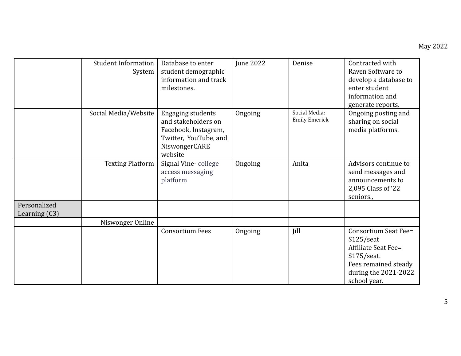|                               | <b>Student Information</b><br>System | Database to enter<br>student demographic<br>information and track<br>milestones.                                             | <b>June 2022</b> | Denise                                | Contracted with<br>Raven Software to<br>develop a database to<br>enter student<br>information and<br>generate reports.                                   |
|-------------------------------|--------------------------------------|------------------------------------------------------------------------------------------------------------------------------|------------------|---------------------------------------|----------------------------------------------------------------------------------------------------------------------------------------------------------|
|                               | Social Media/Website                 | <b>Engaging students</b><br>and stakeholders on<br>Facebook, Instagram,<br>Twitter, YouTube, and<br>NiswongerCARE<br>website | Ongoing          | Social Media:<br><b>Emily Emerick</b> | Ongoing posting and<br>sharing on social<br>media platforms.                                                                                             |
|                               | <b>Texting Platform</b>              | Signal Vine-college<br>access messaging<br>platform                                                                          | Ongoing          | Anita                                 | Advisors continue to<br>send messages and<br>announcements to<br>2,095 Class of '22<br>seniors.,                                                         |
| Personalized<br>Learning (C3) |                                      |                                                                                                                              |                  |                                       |                                                                                                                                                          |
|                               | Niswonger Online                     |                                                                                                                              |                  |                                       |                                                                                                                                                          |
|                               |                                      | <b>Consortium Fees</b>                                                                                                       | Ongoing          | Jill                                  | <b>Consortium Seat Fee=</b><br>$$125/$ seat<br><b>Affiliate Seat Fee=</b><br>\$175/seat.<br>Fees remained steady<br>during the 2021-2022<br>school year. |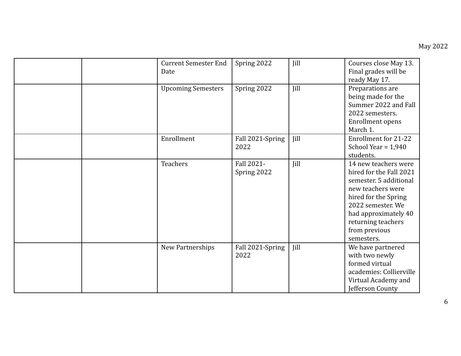|  | <b>Current Semester End</b><br>Date | Spring 2022               | Jill | Courses close May 13.<br>Final grades will be<br>ready May 17.                                                                                                                                                           |
|--|-------------------------------------|---------------------------|------|--------------------------------------------------------------------------------------------------------------------------------------------------------------------------------------------------------------------------|
|  | <b>Upcoming Semesters</b>           | Spring 2022               | Jill | Preparations are<br>being made for the<br>Summer 2022 and Fall<br>2022 semesters.<br>Enrollment opens<br>March 1.                                                                                                        |
|  | Enrollment                          | Fall 2021-Spring<br>2022  | Jill | <b>Enrollment for 21-22</b><br>School Year = $1,940$<br>students.                                                                                                                                                        |
|  | Teachers                            | Fall 2021-<br>Spring 2022 | Jill | 14 new teachers were<br>hired for the Fall 2021<br>semester. 5 additional<br>new teachers were<br>hired for the Spring<br>2022 semester. We<br>had approximately 40<br>returning teachers<br>from previous<br>semesters. |
|  | New Partnerships                    | Fall 2021-Spring<br>2022  | Jill | We have partnered<br>with two newly<br>formed virtual<br>academies: Collierville<br>Virtual Academy and<br>Jefferson County                                                                                              |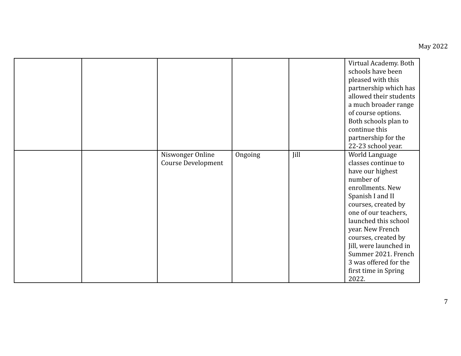|  |                                               |         |      | Virtual Academy. Both<br>schools have been<br>pleased with this<br>partnership which has<br>allowed their students<br>a much broader range<br>of course options.<br>Both schools plan to<br>continue this<br>partnership for the<br>22-23 school year.                                                                                      |
|--|-----------------------------------------------|---------|------|---------------------------------------------------------------------------------------------------------------------------------------------------------------------------------------------------------------------------------------------------------------------------------------------------------------------------------------------|
|  | Niswonger Online<br><b>Course Development</b> | Ongoing | Jill | World Language<br>classes continue to<br>have our highest<br>number of<br>enrollments. New<br>Spanish I and II<br>courses, created by<br>one of our teachers,<br>launched this school<br>year. New French<br>courses, created by<br>Jill, were launched in<br>Summer 2021. French<br>3 was offered for the<br>first time in Spring<br>2022. |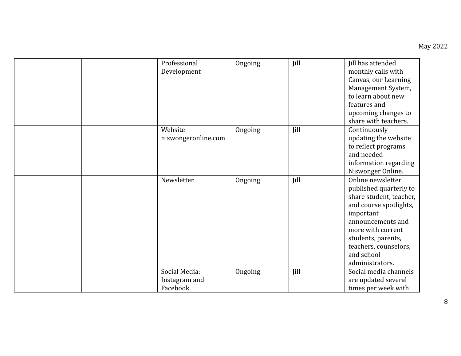|  | Professional<br>Development                | Ongoing | Jill        | Jill has attended<br>monthly calls with<br>Canvas, our Learning<br>Management System,<br>to learn about new<br>features and<br>upcoming changes to<br>share with teachers.                                                              |
|--|--------------------------------------------|---------|-------------|-----------------------------------------------------------------------------------------------------------------------------------------------------------------------------------------------------------------------------------------|
|  | Website<br>niswongeronline.com             | Ongoing | Jill        | Continuously<br>updating the website<br>to reflect programs<br>and needed<br>information regarding<br>Niswonger Online.                                                                                                                 |
|  | Newsletter                                 | Ongoing | Jill        | Online newsletter<br>published quarterly to<br>share student, teacher,<br>and course spotlights,<br>important<br>announcements and<br>more with current<br>students, parents,<br>teachers, counselors,<br>and school<br>administrators. |
|  | Social Media:<br>Instagram and<br>Facebook | Ongoing | <b>Jill</b> | Social media channels<br>are updated several<br>times per week with                                                                                                                                                                     |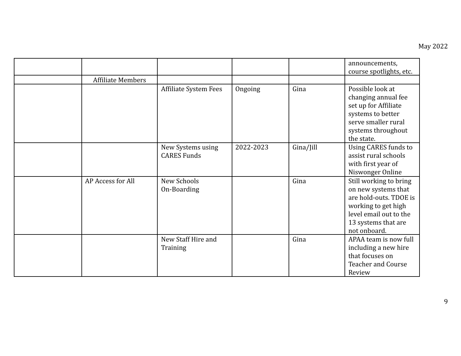|                          |                                         |           |           | announcements,<br>course spotlights, etc.                                                                                                                       |
|--------------------------|-----------------------------------------|-----------|-----------|-----------------------------------------------------------------------------------------------------------------------------------------------------------------|
| <b>Affiliate Members</b> |                                         |           |           |                                                                                                                                                                 |
|                          | <b>Affiliate System Fees</b>            | Ongoing   | Gina      | Possible look at<br>changing annual fee<br>set up for Affiliate<br>systems to better<br>serve smaller rural<br>systems throughout<br>the state.                 |
|                          | New Systems using<br><b>CARES Funds</b> | 2022-2023 | Gina/Jill | Using CARES funds to<br>assist rural schools<br>with first year of<br>Niswonger Online                                                                          |
| AP Access for All        | New Schools<br>On-Boarding              |           | Gina      | Still working to bring<br>on new systems that<br>are hold-outs. TDOE is<br>working to get high<br>level email out to the<br>13 systems that are<br>not onboard. |
|                          | New Staff Hire and<br>Training          |           | Gina      | APAA team is now full<br>including a new hire<br>that focuses on<br><b>Teacher and Course</b><br>Review                                                         |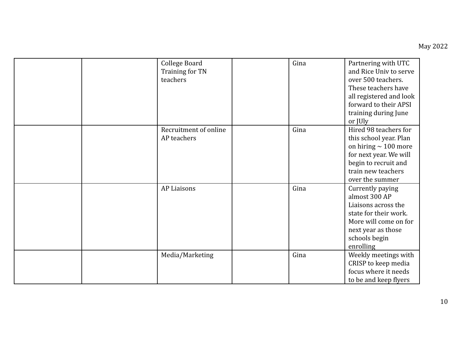| <b>College Board</b><br>Training for TN<br>teachers | Gina | Partnering with UTC<br>and Rice Univ to serve<br>over 500 teachers.<br>These teachers have<br>all registered and look<br>forward to their APSI<br>training during June<br>or JUly |
|-----------------------------------------------------|------|-----------------------------------------------------------------------------------------------------------------------------------------------------------------------------------|
| Recruitment of online<br>AP teachers                | Gina | Hired 98 teachers for<br>this school year. Plan<br>on hiring $\sim$ 100 more<br>for next year. We will<br>begin to recruit and<br>train new teachers<br>over the summer           |
| <b>AP Liaisons</b>                                  | Gina | Currently paying<br>almost 300 AP<br>Liaisons across the<br>state for their work.<br>More will come on for<br>next year as those<br>schools begin<br>enrolling                    |
| Media/Marketing                                     | Gina | Weekly meetings with<br>CRISP to keep media<br>focus where it needs<br>to be and keep flyers                                                                                      |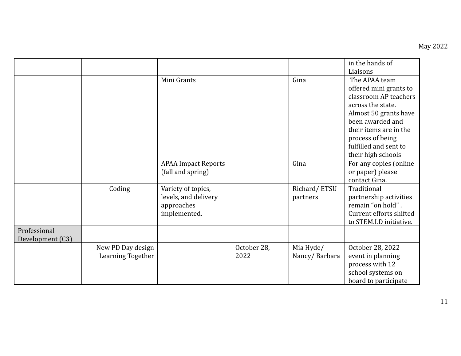|                  |                   |                            |             |               | in the hands of         |
|------------------|-------------------|----------------------------|-------------|---------------|-------------------------|
|                  |                   |                            |             |               | Liaisons                |
|                  |                   | Mini Grants                |             | Gina          | The APAA team           |
|                  |                   |                            |             |               | offered mini grants to  |
|                  |                   |                            |             |               | classroom AP teachers   |
|                  |                   |                            |             |               | across the state.       |
|                  |                   |                            |             |               | Almost 50 grants have   |
|                  |                   |                            |             |               | been awarded and        |
|                  |                   |                            |             |               | their items are in the  |
|                  |                   |                            |             |               | process of being        |
|                  |                   |                            |             |               | fulfilled and sent to   |
|                  |                   |                            |             |               | their high schools      |
|                  |                   | <b>APAA Impact Reports</b> |             | Gina          | For any copies (online  |
|                  |                   | (fall and spring)          |             |               | or paper) please        |
|                  |                   |                            |             |               | contact Gina.           |
|                  | Coding            | Variety of topics,         |             | Richard/ETSU  | Traditional             |
|                  |                   | levels, and delivery       |             | partners      | partnership activities  |
|                  |                   | approaches                 |             |               | remain "on hold".       |
|                  |                   | implemented.               |             |               | Current efforts shifted |
|                  |                   |                            |             |               | to STEM.LD initiative.  |
| Professional     |                   |                            |             |               |                         |
| Development (C3) |                   |                            |             |               |                         |
|                  | New PD Day design |                            | October 28, | Mia Hyde/     | October 28, 2022        |
|                  | Learning Together |                            | 2022        | Nancy/Barbara | event in planning       |
|                  |                   |                            |             |               | process with 12         |
|                  |                   |                            |             |               | school systems on       |
|                  |                   |                            |             |               | board to participate    |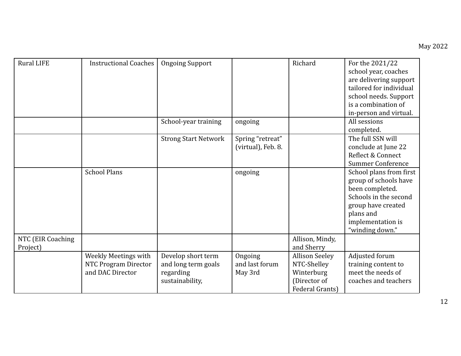| <b>Rural LIFE</b>             | <b>Instructional Coaches</b>                                     | <b>Ongoing Support</b>                                                    |                                        | Richard                                                                               | For the 2021/22<br>school year, coaches<br>are delivering support<br>tailored for individual<br>school needs. Support<br>is a combination of<br>in-person and virtual.  |
|-------------------------------|------------------------------------------------------------------|---------------------------------------------------------------------------|----------------------------------------|---------------------------------------------------------------------------------------|-------------------------------------------------------------------------------------------------------------------------------------------------------------------------|
|                               |                                                                  | School-year training                                                      | ongoing                                |                                                                                       | All sessions<br>completed.                                                                                                                                              |
|                               |                                                                  | <b>Strong Start Network</b>                                               | Spring "retreat"<br>(virtual), Feb. 8. |                                                                                       | The full SSN will<br>conclude at June 22<br>Reflect & Connect<br><b>Summer Conference</b>                                                                               |
|                               | <b>School Plans</b>                                              |                                                                           | ongoing                                |                                                                                       | School plans from first<br>group of schools have<br>been completed.<br>Schools in the second<br>group have created<br>plans and<br>implementation is<br>"winding down." |
| NTC (EIR Coaching<br>Project) |                                                                  |                                                                           |                                        | Allison, Mindy,<br>and Sherry                                                         |                                                                                                                                                                         |
|                               | Weekly Meetings with<br>NTC Program Director<br>and DAC Director | Develop short term<br>and long term goals<br>regarding<br>sustainability, | Ongoing<br>and last forum<br>May 3rd   | <b>Allison Seeley</b><br>NTC-Shelley<br>Winterburg<br>(Director of<br>Federal Grants) | Adjusted forum<br>training content to<br>meet the needs of<br>coaches and teachers                                                                                      |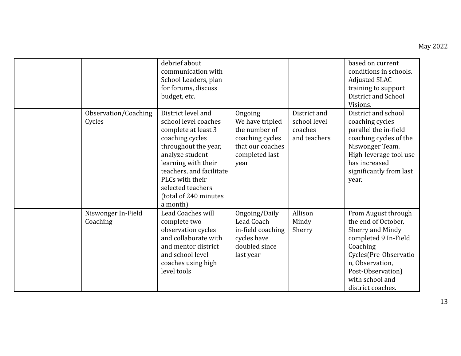|                                | debrief about<br>communication with<br>School Leaders, plan<br>for forums, discuss<br>budget, etc.                                                                                                                                                              |                                                                                                              |                                                         | based on current<br>conditions in schools.<br><b>Adjusted SLAC</b><br>training to support<br>District and School<br>Visions.                                                                                |
|--------------------------------|-----------------------------------------------------------------------------------------------------------------------------------------------------------------------------------------------------------------------------------------------------------------|--------------------------------------------------------------------------------------------------------------|---------------------------------------------------------|-------------------------------------------------------------------------------------------------------------------------------------------------------------------------------------------------------------|
| Observation/Coaching<br>Cycles | District level and<br>school level coaches<br>complete at least 3<br>coaching cycles<br>throughout the year,<br>analyze student<br>learning with their<br>teachers, and facilitate<br>PLCs with their<br>selected teachers<br>(total of 240 minutes<br>a month) | Ongoing<br>We have tripled<br>the number of<br>coaching cycles<br>that our coaches<br>completed last<br>year | District and<br>school level<br>coaches<br>and teachers | District and school<br>coaching cycles<br>parallel the in-field<br>coaching cycles of the<br>Niswonger Team.<br>High-leverage tool use<br>has increased<br>significantly from last<br>year.                 |
| Niswonger In-Field<br>Coaching | <b>Lead Coaches will</b><br>complete two<br>observation cycles<br>and collaborate with<br>and mentor district<br>and school level<br>coaches using high<br>level tools                                                                                          | Ongoing/Daily<br>Lead Coach<br>in-field coaching<br>cycles have<br>doubled since<br>last year                | Allison<br>Mindy<br>Sherry                              | From August through<br>the end of October,<br>Sherry and Mindy<br>completed 9 In-Field<br>Coaching<br>Cycles(Pre-Observatio<br>n, Observation,<br>Post-Observation)<br>with school and<br>district coaches. |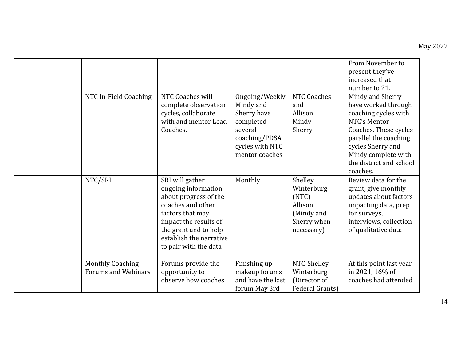|                                                |                                                                                                                                                                                                                |                                                                                                                          |                                                                                      | From November to<br>present they've<br>increased that<br>number to 21.                                                                                                                                               |
|------------------------------------------------|----------------------------------------------------------------------------------------------------------------------------------------------------------------------------------------------------------------|--------------------------------------------------------------------------------------------------------------------------|--------------------------------------------------------------------------------------|----------------------------------------------------------------------------------------------------------------------------------------------------------------------------------------------------------------------|
| NTC In-Field Coaching                          | NTC Coaches will<br>complete observation<br>cycles, collaborate<br>with and mentor Lead<br>Coaches.                                                                                                            | Ongoing/Weekly<br>Mindy and<br>Sherry have<br>completed<br>several<br>coaching/PDSA<br>cycles with NTC<br>mentor coaches | <b>NTC Coaches</b><br>and<br>Allison<br>Mindy<br>Sherry                              | Mindy and Sherry<br>have worked through<br>coaching cycles with<br>NTC's Mentor<br>Coaches. These cycles<br>parallel the coaching<br>cycles Sherry and<br>Mindy complete with<br>the district and school<br>coaches. |
| NTC/SRI                                        | SRI will gather<br>ongoing information<br>about progress of the<br>coaches and other<br>factors that may<br>impact the results of<br>the grant and to help<br>establish the narrative<br>to pair with the data | Monthly                                                                                                                  | Shelley<br>Winterburg<br>(NTC)<br>Allison<br>(Mindy and<br>Sherry when<br>necessary) | Review data for the<br>grant, give monthly<br>updates about factors<br>impacting data, prep<br>for surveys,<br>interviews, collection<br>of qualitative data                                                         |
|                                                |                                                                                                                                                                                                                |                                                                                                                          |                                                                                      |                                                                                                                                                                                                                      |
| <b>Monthly Coaching</b><br>Forums and Webinars | Forums provide the<br>opportunity to<br>observe how coaches                                                                                                                                                    | Finishing up<br>makeup forums<br>and have the last<br>forum May 3rd                                                      | NTC-Shelley<br>Winterburg<br>(Director of<br>Federal Grants)                         | At this point last year<br>in 2021, 16% of<br>coaches had attended                                                                                                                                                   |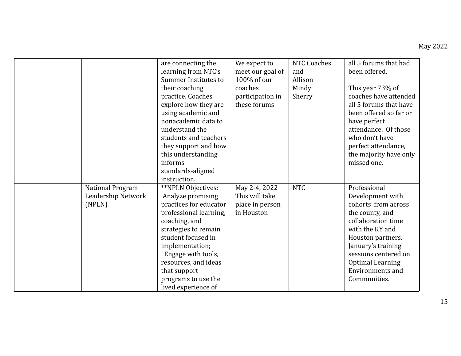|                                                  | are connecting the<br>learning from NTC's<br>Summer Institutes to<br>their coaching<br>practice. Coaches<br>explore how they are<br>using academic and<br>nonacademic data to<br>understand the<br>students and teachers<br>they support and how<br>this understanding<br>informs<br>standards-aligned<br>instruction. | We expect to<br>meet our goal of<br>100% of our<br>coaches<br>participation in<br>these forums | <b>NTC Coaches</b><br>and<br>Allison<br>Mindy<br>Sherry | all 5 forums that had<br>been offered.<br>This year 73% of<br>coaches have attended<br>all 5 forums that have<br>been offered so far or<br>have perfect<br>attendance. Of those<br>who don't have<br>perfect attendance,<br>the majority have only<br>missed one. |
|--------------------------------------------------|------------------------------------------------------------------------------------------------------------------------------------------------------------------------------------------------------------------------------------------------------------------------------------------------------------------------|------------------------------------------------------------------------------------------------|---------------------------------------------------------|-------------------------------------------------------------------------------------------------------------------------------------------------------------------------------------------------------------------------------------------------------------------|
| National Program<br>Leadership Network<br>(NPLN) | **NPLN Objectives:<br>Analyze promising<br>practices for educator<br>professional learning,<br>coaching, and<br>strategies to remain<br>student focused in<br>implementation;<br>Engage with tools,<br>resources, and ideas<br>that support<br>programs to use the<br>lived experience of                              | May 2-4, 2022<br>This will take<br>place in person<br>in Houston                               | <b>NTC</b>                                              | Professional<br>Development with<br>cohorts from across<br>the county, and<br>collaboration time<br>with the KY and<br>Houston partners.<br>January's training<br>sessions centered on<br><b>Optimal Learning</b><br>Environments and<br>Communities.             |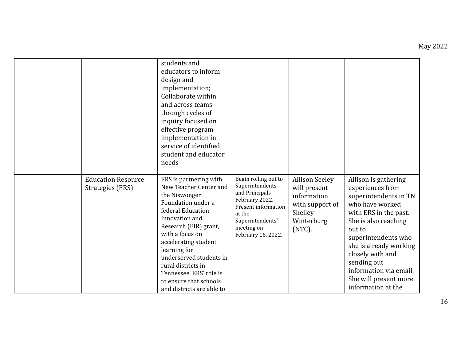May 2022

|                                               | students and<br>educators to inform<br>design and<br>implementation;<br>Collaborate within<br>and across teams<br>through cycles of<br>inquiry focused on<br>effective program<br>implementation in<br>service of identified<br>student and educator<br>needs                                                                                         |                                                                                                                                                                      |                                                                                                            |                                                                                                                                                                                                                                                                                                              |
|-----------------------------------------------|-------------------------------------------------------------------------------------------------------------------------------------------------------------------------------------------------------------------------------------------------------------------------------------------------------------------------------------------------------|----------------------------------------------------------------------------------------------------------------------------------------------------------------------|------------------------------------------------------------------------------------------------------------|--------------------------------------------------------------------------------------------------------------------------------------------------------------------------------------------------------------------------------------------------------------------------------------------------------------|
| <b>Education Resource</b><br>Strategies (ERS) | ERS is partnering with<br>New Teacher Center and<br>the Niswonger<br>Foundation under a<br>federal Education<br>Innovation and<br>Research (EIR) grant,<br>with a focus on<br>accelerating student<br>learning for<br>underserved students in<br>rural districts in<br>Tennessee. ERS' role is<br>to ensure that schools<br>and districts are able to | Begin rolling out to<br>Superintendents<br>and Principals<br>February 2022.<br>Present information<br>at the<br>Superintendents'<br>meeting on<br>February 16, 2022. | <b>Allison Seeley</b><br>will present<br>information<br>with support of<br>Shelley<br>Winterburg<br>(NTC). | Allison is gathering<br>experiences from<br>superintendents in TN<br>who have worked<br>with ERS in the past.<br>She is also reaching<br>out to<br>superintendents who<br>she is already working<br>closely with and<br>sending out<br>information via email.<br>She will present more<br>information at the |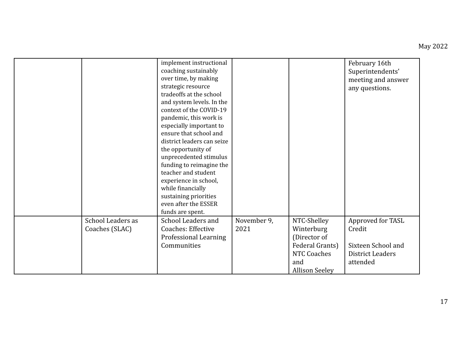|                   | implement instructional    |             |                       | February 16th           |
|-------------------|----------------------------|-------------|-----------------------|-------------------------|
|                   | coaching sustainably       |             |                       | Superintendents'        |
|                   | over time, by making       |             |                       | meeting and answer      |
|                   | strategic resource         |             |                       |                         |
|                   | tradeoffs at the school    |             |                       | any questions.          |
|                   | and system levels. In the  |             |                       |                         |
|                   | context of the COVID-19    |             |                       |                         |
|                   | pandemic, this work is     |             |                       |                         |
|                   | especially important to    |             |                       |                         |
|                   | ensure that school and     |             |                       |                         |
|                   | district leaders can seize |             |                       |                         |
|                   | the opportunity of         |             |                       |                         |
|                   | unprecedented stimulus     |             |                       |                         |
|                   | funding to reimagine the   |             |                       |                         |
|                   | teacher and student        |             |                       |                         |
|                   | experience in school,      |             |                       |                         |
|                   | while financially          |             |                       |                         |
|                   | sustaining priorities      |             |                       |                         |
|                   | even after the ESSER       |             |                       |                         |
|                   | funds are spent.           |             |                       |                         |
| School Leaders as | School Leaders and         | November 9, | NTC-Shelley           | Approved for TASL       |
| Coaches (SLAC)    | <b>Coaches: Effective</b>  | 2021        | Winterburg            | Credit                  |
|                   | Professional Learning      |             | (Director of          |                         |
|                   | Communities                |             | Federal Grants)       | Sixteen School and      |
|                   |                            |             | NTC Coaches           | <b>District Leaders</b> |
|                   |                            |             | and                   | attended                |
|                   |                            |             | <b>Allison Seeley</b> |                         |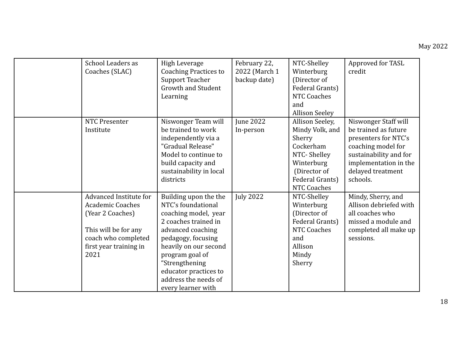| School Leaders as<br>Coaches (SLAC)                                                                                                                    | High Leverage<br><b>Coaching Practices to</b><br><b>Support Teacher</b><br><b>Growth and Student</b><br>Learning                                                                                                                                                            | February 22,<br>2022 (March 1<br>backup date) | NTC-Shelley<br>Winterburg<br>(Director of<br>Federal Grants)<br><b>NTC Coaches</b><br>and<br><b>Allison Seeley</b>                              | Approved for TASL<br>credit                                                                                                                                                    |
|--------------------------------------------------------------------------------------------------------------------------------------------------------|-----------------------------------------------------------------------------------------------------------------------------------------------------------------------------------------------------------------------------------------------------------------------------|-----------------------------------------------|-------------------------------------------------------------------------------------------------------------------------------------------------|--------------------------------------------------------------------------------------------------------------------------------------------------------------------------------|
| NTC Presenter<br>Institute                                                                                                                             | Niswonger Team will<br>be trained to work<br>independently via a<br>"Gradual Release"<br>Model to continue to<br>build capacity and<br>sustainability in local<br>districts                                                                                                 | <b>June 2022</b><br>In-person                 | Allison Seeley,<br>Mindy Volk, and<br>Sherry<br>Cockerham<br>NTC-Shelley<br>Winterburg<br>(Director of<br>Federal Grants)<br><b>NTC Coaches</b> | Niswonger Staff will<br>be trained as future<br>presenters for NTC's<br>coaching model for<br>sustainability and for<br>implementation in the<br>delayed treatment<br>schools. |
| Advanced Institute for<br><b>Academic Coaches</b><br>(Year 2 Coaches)<br>This will be for any<br>coach who completed<br>first year training in<br>2021 | Building upon the the<br>NTC's foundational<br>coaching model, year<br>2 coaches trained in<br>advanced coaching<br>pedagogy, focusing<br>heavily on our second<br>program goal of<br>"Strengthening<br>educator practices to<br>address the needs of<br>every learner with | <b>July 2022</b>                              | NTC-Shelley<br>Winterburg<br>(Director of<br>Federal Grants)<br><b>NTC Coaches</b><br>and<br>Allison<br>Mindy<br>Sherry                         | Mindy, Sherry, and<br>Allison debriefed with<br>all coaches who<br>missed a module and<br>completed all make up<br>sessions.                                                   |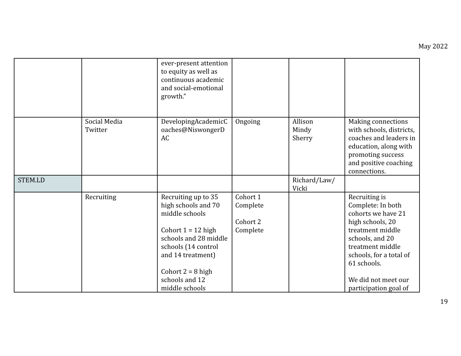|         |                         | ever-present attention<br>to equity as well as<br>continuous academic<br>and social-emotional<br>growth."                                                                                                            |                                              |                            |                                                                                                                                                                                                                                   |
|---------|-------------------------|----------------------------------------------------------------------------------------------------------------------------------------------------------------------------------------------------------------------|----------------------------------------------|----------------------------|-----------------------------------------------------------------------------------------------------------------------------------------------------------------------------------------------------------------------------------|
|         | Social Media<br>Twitter | DevelopingAcademicC<br>oaches@NiswongerD<br>AC                                                                                                                                                                       | Ongoing                                      | Allison<br>Mindy<br>Sherry | Making connections<br>with schools, districts,<br>coaches and leaders in<br>education, along with<br>promoting success<br>and positive coaching<br>connections.                                                                   |
| STEM.LD |                         |                                                                                                                                                                                                                      |                                              | Richard/Law/<br>Vicki      |                                                                                                                                                                                                                                   |
|         | Recruiting              | Recruiting up to 35<br>high schools and 70<br>middle schools<br>Cohort $1 = 12$ high<br>schools and 28 middle<br>schools (14 control<br>and 14 treatment)<br>Cohort $2 = 8$ high<br>schools and 12<br>middle schools | Cohort 1<br>Complete<br>Cohort 2<br>Complete |                            | Recruiting is<br>Complete: In both<br>cohorts we have 21<br>high schools, 20<br>treatment middle<br>schools, and 20<br>treatment middle<br>schools, for a total of<br>61 schools.<br>We did not meet our<br>participation goal of |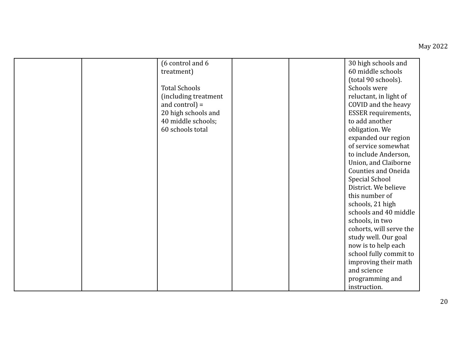|  | (6 control and 6     |  | 30 high schools and        |
|--|----------------------|--|----------------------------|
|  | treatment)           |  | 60 middle schools          |
|  |                      |  | (total 90 schools).        |
|  | <b>Total Schools</b> |  | Schools were               |
|  | (including treatment |  | reluctant, in light of     |
|  | and control) $=$     |  | COVID and the heavy        |
|  | 20 high schools and  |  | <b>ESSER</b> requirements, |
|  | 40 middle schools;   |  | to add another             |
|  | 60 schools total     |  | obligation. We             |
|  |                      |  | expanded our region        |
|  |                      |  | of service somewhat        |
|  |                      |  | to include Anderson,       |
|  |                      |  | Union, and Claiborne       |
|  |                      |  | Counties and Oneida        |
|  |                      |  | Special School             |
|  |                      |  | District. We believe       |
|  |                      |  | this number of             |
|  |                      |  | schools, 21 high           |
|  |                      |  | schools and 40 middle      |
|  |                      |  | schools, in two            |
|  |                      |  | cohorts, will serve the    |
|  |                      |  | study well. Our goal       |
|  |                      |  | now is to help each        |
|  |                      |  | school fully commit to     |
|  |                      |  | improving their math       |
|  |                      |  | and science                |
|  |                      |  | programming and            |
|  |                      |  | instruction.               |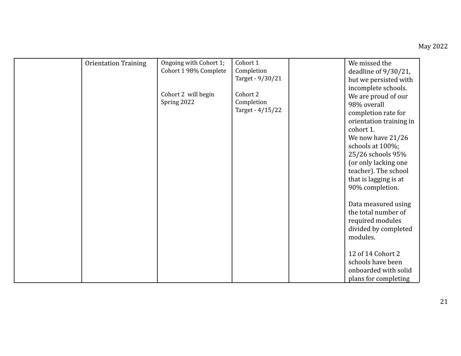## May 2022

| <b>Orientation Training</b> | Ongoing with Cohort 1;<br>Cohort 1 98% Complete<br>Cohort 2 will begin<br>Spring 2022 | Cohort 1<br>Completion<br>Target - 9/30/21<br>Cohort 2<br>Completion<br>Target - 4/15/22 | We missed the<br>deadline of 9/30/21,<br>but we persisted with<br>incomplete schools.<br>We are proud of our<br>98% overall<br>completion rate for<br>orientation training in<br>cohort 1.<br>We now have 21/26<br>schools at 100%;<br>25/26 schools 95% |
|-----------------------------|---------------------------------------------------------------------------------------|------------------------------------------------------------------------------------------|----------------------------------------------------------------------------------------------------------------------------------------------------------------------------------------------------------------------------------------------------------|
|                             |                                                                                       |                                                                                          | (or only lacking one<br>teacher). The school<br>that is lagging is at<br>90% completion.                                                                                                                                                                 |
|                             |                                                                                       |                                                                                          | Data measured using<br>the total number of<br>required modules<br>divided by completed<br>modules.                                                                                                                                                       |
|                             |                                                                                       |                                                                                          | 12 of 14 Cohort 2<br>schools have been<br>onboarded with solid<br>plans for completing                                                                                                                                                                   |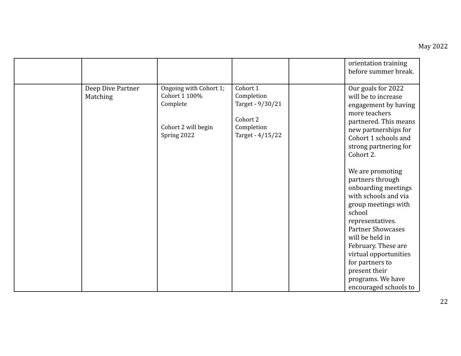|                               |                                                                                           |                                                                                          | orientation training<br>before summer break.                                                                                                                                                                                                                                                                                                                                                                                                                                                                                   |
|-------------------------------|-------------------------------------------------------------------------------------------|------------------------------------------------------------------------------------------|--------------------------------------------------------------------------------------------------------------------------------------------------------------------------------------------------------------------------------------------------------------------------------------------------------------------------------------------------------------------------------------------------------------------------------------------------------------------------------------------------------------------------------|
| Deep Dive Partner<br>Matching | Ongoing with Cohort 1;<br>Cohort 1 100%<br>Complete<br>Cohort 2 will begin<br>Spring 2022 | Cohort 1<br>Completion<br>Target - 9/30/21<br>Cohort 2<br>Completion<br>Target - 4/15/22 | Our goals for 2022<br>will be to increase<br>engagement by having<br>more teachers<br>partnered. This means<br>new partnerships for<br>Cohort 1 schools and<br>strong partnering for<br>Cohort 2.<br>We are promoting<br>partners through<br>onboarding meetings<br>with schools and via<br>group meetings with<br>school<br>representatives.<br><b>Partner Showcases</b><br>will be held in<br>February. These are<br>virtual opportunities<br>for partners to<br>present their<br>programs. We have<br>encouraged schools to |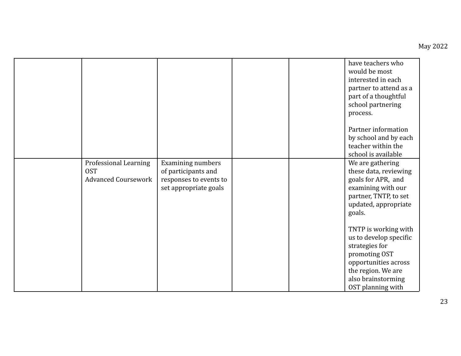|                            |                          |  | have teachers who<br>would be most<br>interested in each<br>partner to attend as a<br>part of a thoughtful<br>school partnering<br>process. |
|----------------------------|--------------------------|--|---------------------------------------------------------------------------------------------------------------------------------------------|
|                            |                          |  | Partner information<br>by school and by each<br>teacher within the<br>school is available                                                   |
| Professional Learning      | <b>Examining numbers</b> |  | We are gathering                                                                                                                            |
| <b>OST</b>                 | of participants and      |  | these data, reviewing                                                                                                                       |
| <b>Advanced Coursework</b> | responses to events to   |  | goals for APR, and                                                                                                                          |
|                            | set appropriate goals    |  | examining with our                                                                                                                          |
|                            |                          |  | partner, TNTP, to set                                                                                                                       |
|                            |                          |  | updated, appropriate                                                                                                                        |
|                            |                          |  | goals.                                                                                                                                      |
|                            |                          |  | TNTP is working with                                                                                                                        |
|                            |                          |  | us to develop specific                                                                                                                      |
|                            |                          |  |                                                                                                                                             |
|                            |                          |  |                                                                                                                                             |
|                            |                          |  |                                                                                                                                             |
|                            |                          |  |                                                                                                                                             |
|                            |                          |  |                                                                                                                                             |
|                            |                          |  | strategies for<br>promoting OST<br>opportunities across<br>the region. We are<br>also brainstorming<br>OST planning with                    |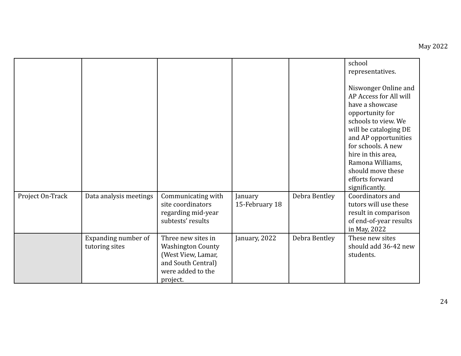|                  |                                       |                                                                                                                             |                           |               | school<br>representatives.<br>Niswonger Online and<br>AP Access for All will<br>have a showcase<br>opportunity for<br>schools to view. We<br>will be cataloging DE<br>and AP opportunities<br>for schools. A new<br>hire in this area,<br>Ramona Williams,<br>should move these<br>efforts forward<br>significantly. |
|------------------|---------------------------------------|-----------------------------------------------------------------------------------------------------------------------------|---------------------------|---------------|----------------------------------------------------------------------------------------------------------------------------------------------------------------------------------------------------------------------------------------------------------------------------------------------------------------------|
| Project On-Track | Data analysis meetings                | Communicating with<br>site coordinators<br>regarding mid-year<br>subtests' results                                          | January<br>15-February 18 | Debra Bentley | Coordinators and<br>tutors will use these<br>result in comparison<br>of end-of-year results<br>in May, 2022                                                                                                                                                                                                          |
|                  | Expanding number of<br>tutoring sites | Three new sites in<br><b>Washington County</b><br>(West View, Lamar,<br>and South Central)<br>were added to the<br>project. | January, 2022             | Debra Bentley | These new sites<br>should add 36-42 new<br>students.                                                                                                                                                                                                                                                                 |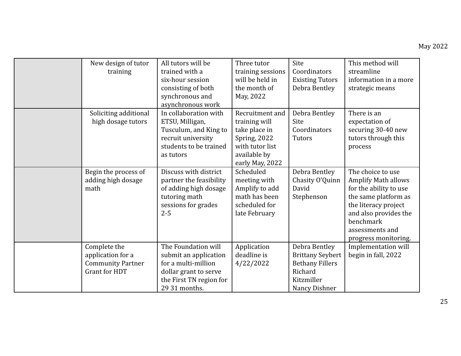| New design of tutor<br>training                                                       | All tutors will be<br>trained with a<br>six-hour session<br>consisting of both<br>synchronous and<br>asynchronous work                   | Three tutor<br>training sessions<br>will be held in<br>the month of<br>May, 2022                                        | Site<br>Coordinators<br><b>Existing Tutors</b><br>Debra Bentley                                              | This method will<br>streamline<br>information in a more<br>strategic means                                                                                                                                 |
|---------------------------------------------------------------------------------------|------------------------------------------------------------------------------------------------------------------------------------------|-------------------------------------------------------------------------------------------------------------------------|--------------------------------------------------------------------------------------------------------------|------------------------------------------------------------------------------------------------------------------------------------------------------------------------------------------------------------|
| Soliciting additional<br>high dosage tutors                                           | In collaboration with<br>ETSU, Milligan,<br>Tusculum, and King to<br>recruit university<br>students to be trained<br>as tutors           | Recruitment and<br>training will<br>take place in<br>Spring, 2022<br>with tutor list<br>available by<br>early May, 2022 | Debra Bentley<br><b>Site</b><br>Coordinators<br>Tutors                                                       | There is an<br>expectation of<br>securing 30-40 new<br>tutors through this<br>process                                                                                                                      |
| Begin the process of<br>adding high dosage<br>math                                    | Discuss with district<br>partner the feasibility<br>of adding high dosage<br>tutoring math<br>sessions for grades<br>$2 - 5$             | Scheduled<br>meeting with<br>Amplify to add<br>math has been<br>scheduled for<br>late February                          | Debra Bentley<br>Chasity O'Quinn<br>David<br>Stephenson                                                      | The choice to use<br><b>Amplify Math allows</b><br>for the ability to use<br>the same platform as<br>the literacy project<br>and also provides the<br>benchmark<br>assessments and<br>progress monitoring. |
| Complete the<br>application for a<br><b>Community Partner</b><br><b>Grant for HDT</b> | The Foundation will<br>submit an application<br>for a multi-million<br>dollar grant to serve<br>the First TN region for<br>29 31 months. | Application<br>deadline is<br>4/22/2022                                                                                 | Debra Bentley<br><b>Brittany Seybert</b><br><b>Bethany Fillers</b><br>Richard<br>Kitzmiller<br>Nancy Dishner | Implementation will<br>begin in fall, 2022                                                                                                                                                                 |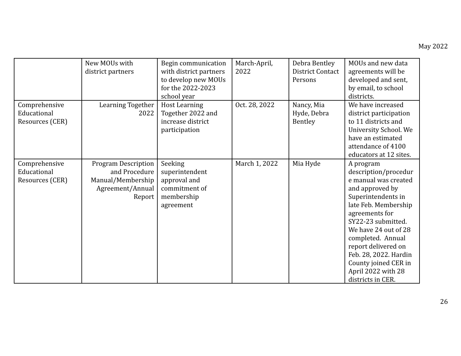|                                                 | New MOUs with<br>district partners                                                             | Begin communication<br>with district partners<br>to develop new MOUs<br>for the 2022-2023<br>school year | March-April,<br>2022 | Debra Bentley<br>District Contact<br>Persons | MOUs and new data<br>agreements will be<br>developed and sent,<br>by email, to school<br>districts.                                                                                                                                                                                                                                |
|-------------------------------------------------|------------------------------------------------------------------------------------------------|----------------------------------------------------------------------------------------------------------|----------------------|----------------------------------------------|------------------------------------------------------------------------------------------------------------------------------------------------------------------------------------------------------------------------------------------------------------------------------------------------------------------------------------|
| Comprehensive<br>Educational<br>Resources (CER) | Learning Together<br>2022                                                                      | <b>Host Learning</b><br>Together 2022 and<br>increase district<br>participation                          | Oct. 28, 2022        | Nancy, Mia<br>Hyde, Debra<br>Bentley         | We have increased<br>district participation<br>to 11 districts and<br>University School. We<br>have an estimated<br>attendance of 4100<br>educators at 12 sites.                                                                                                                                                                   |
| Comprehensive<br>Educational<br>Resources (CER) | <b>Program Description</b><br>and Procedure<br>Manual/Membership<br>Agreement/Annual<br>Report | Seeking<br>superintendent<br>approval and<br>commitment of<br>membership<br>agreement                    | March 1, 2022        | Mia Hyde                                     | A program<br>description/procedur<br>e manual was created<br>and approved by<br>Superintendents in<br>late Feb. Membership<br>agreements for<br>SY22-23 submitted.<br>We have 24 out of 28<br>completed. Annual<br>report delivered on<br>Feb. 28, 2022. Hardin<br>County joined CER in<br>April 2022 with 28<br>districts in CER. |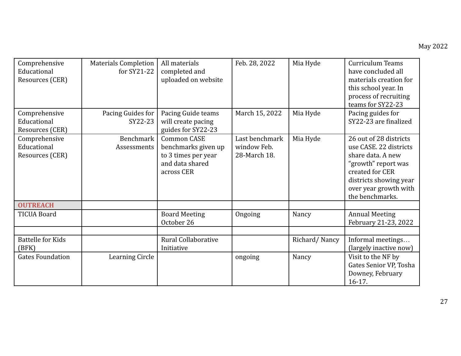| Comprehensive<br>Educational<br>Resources (CER) | <b>Materials Completion</b><br>for SY21-22 | All materials<br>completed and<br>uploaded on website                                             | Feb. 28, 2022                                 | Mia Hyde      | <b>Curriculum Teams</b><br>have concluded all<br>materials creation for<br>this school year. In<br>process of recruiting<br>teams for SY22-23                                         |
|-------------------------------------------------|--------------------------------------------|---------------------------------------------------------------------------------------------------|-----------------------------------------------|---------------|---------------------------------------------------------------------------------------------------------------------------------------------------------------------------------------|
| Comprehensive<br>Educational<br>Resources (CER) | Pacing Guides for<br>SY22-23               | Pacing Guide teams<br>will create pacing<br>guides for SY22-23                                    | March 15, 2022                                | Mia Hyde      | Pacing guides for<br>SY22-23 are finalized                                                                                                                                            |
| Comprehensive<br>Educational<br>Resources (CER) | Benchmark<br>Assessments                   | <b>Common CASE</b><br>benchmarks given up<br>to 3 times per year<br>and data shared<br>across CER | Last benchmark<br>window Feb.<br>28-March 18. | Mia Hyde      | 26 out of 28 districts<br>use CASE. 22 districts<br>share data. A new<br>"growth" report was<br>created for CER<br>districts showing year<br>over year growth with<br>the benchmarks. |
| <b>OUTREACH</b>                                 |                                            |                                                                                                   |                                               |               |                                                                                                                                                                                       |
| <b>TICUA Board</b>                              |                                            | <b>Board Meeting</b><br>October 26                                                                | Ongoing                                       | Nancy         | <b>Annual Meeting</b><br>February 21-23, 2022                                                                                                                                         |
| <b>Battelle for Kids</b><br>(BFK)               |                                            | Rural Collaborative<br>Initiative                                                                 |                                               | Richard/Nancy | Informal meetings<br>(largely inactive now)                                                                                                                                           |
| <b>Gates Foundation</b>                         | Learning Circle                            |                                                                                                   | ongoing                                       | Nancy         | Visit to the NF by<br>Gates Senior VP, Tosha<br>Downey, February<br>$16-17.$                                                                                                          |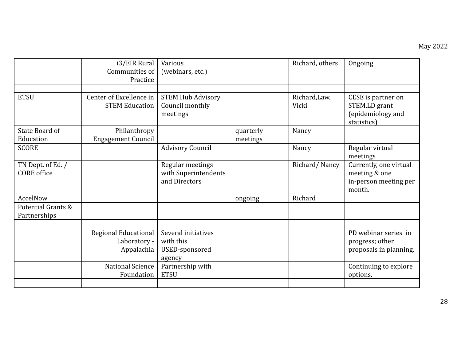|                                         | i3/EIR Rural<br>Communities of<br>Practice         | Various<br>(webinars, etc.)                                  |                       | Richard, others        | Ongoing                                                                    |
|-----------------------------------------|----------------------------------------------------|--------------------------------------------------------------|-----------------------|------------------------|----------------------------------------------------------------------------|
|                                         |                                                    |                                                              |                       |                        |                                                                            |
| <b>ETSU</b>                             | Center of Excellence in<br><b>STEM Education</b>   | <b>STEM Hub Advisory</b><br>Council monthly<br>meetings      |                       | Richard, Law,<br>Vicki | CESE is partner on<br>STEM.LD grant<br>(epidemiology and<br>statistics)    |
| State Board of<br>Education             | Philanthropy<br><b>Engagement Council</b>          |                                                              | quarterly<br>meetings | Nancy                  |                                                                            |
| <b>SCORE</b>                            |                                                    | <b>Advisory Council</b>                                      |                       | Nancy                  | Regular virtual<br>meetings                                                |
| TN Dept. of Ed. /<br><b>CORE</b> office |                                                    | Regular meetings<br>with Superintendents<br>and Directors    |                       | Richard/Nancy          | Currently, one virtual<br>meeting & one<br>in-person meeting per<br>month. |
| AccelNow                                |                                                    |                                                              | ongoing               | Richard                |                                                                            |
| Potential Grants &<br>Partnerships      |                                                    |                                                              |                       |                        |                                                                            |
|                                         |                                                    |                                                              |                       |                        |                                                                            |
|                                         | Regional Educational<br>Laboratory -<br>Appalachia | Several initiatives<br>with this<br>USED-sponsored<br>agency |                       |                        | PD webinar series in<br>progress; other<br>proposals in planning.          |
|                                         | <b>National Science</b><br>Foundation              | Partnership with<br><b>ETSU</b>                              |                       |                        | Continuing to explore<br>options.                                          |
|                                         |                                                    |                                                              |                       |                        |                                                                            |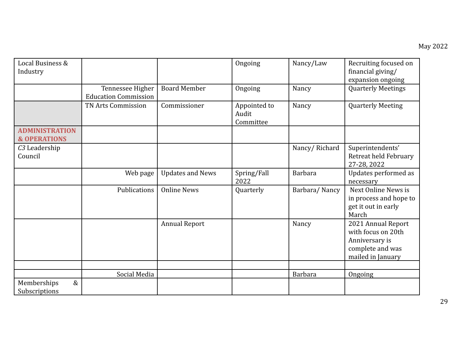| Local Business &<br>Industry                     |                                                 |                         | Ongoing                            | Nancy/Law      | Recruiting focused on<br>financial giving/<br>expansion ongoing                                     |
|--------------------------------------------------|-------------------------------------------------|-------------------------|------------------------------------|----------------|-----------------------------------------------------------------------------------------------------|
|                                                  | Tennessee Higher<br><b>Education Commission</b> | <b>Board Member</b>     | Ongoing                            | Nancy          | <b>Quarterly Meetings</b>                                                                           |
|                                                  | TN Arts Commission                              | Commissioner            | Appointed to<br>Audit<br>Committee | Nancy          | <b>Quarterly Meeting</b>                                                                            |
| <b>ADMINISTRATION</b><br><b>&amp; OPERATIONS</b> |                                                 |                         |                                    |                |                                                                                                     |
| C <sub>3</sub> Leadership<br>Council             |                                                 |                         |                                    | Nancy/Richard  | Superintendents'<br>Retreat held February<br>27-28, 2022                                            |
|                                                  | Web page                                        | <b>Updates and News</b> | Spring/Fall<br>2022                | <b>Barbara</b> | Updates performed as<br>necessary                                                                   |
|                                                  | Publications                                    | <b>Online News</b>      | Quarterly                          | Barbara/Nancy  | Next Online News is<br>in process and hope to<br>get it out in early<br>March                       |
|                                                  |                                                 | <b>Annual Report</b>    |                                    | Nancy          | 2021 Annual Report<br>with focus on 20th<br>Anniversary is<br>complete and was<br>mailed in January |
|                                                  |                                                 |                         |                                    |                |                                                                                                     |
|                                                  | Social Media                                    |                         |                                    | <b>Barbara</b> | Ongoing                                                                                             |
| $\&$<br>Memberships<br>Subscriptions             |                                                 |                         |                                    |                |                                                                                                     |